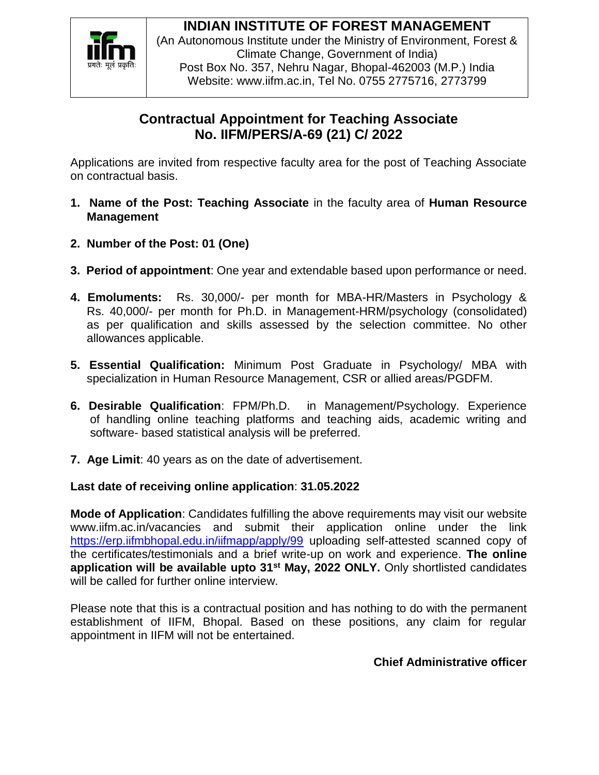

# **INDIAN INSTITUTE OF FOREST MANAGEMENT**

(An Autonomous Institute under the Ministry of Environment, Forest & Climate Change, Government of India) Post Box No. 357, Nehru Nagar, Bhopal-462003 (M.P.) India Website: www.iifm.ac.in, Tel No. 0755 2775716, 2773799

## **Contractual Appointment for Teaching Associate No. IIFM/PERS/A-69 (21) C/ 2022**

Applications are invited from respective faculty area for the post of Teaching Associate on contractual basis.

- **1. Name of the Post: Teaching Associate** in the faculty area of **Human Resource Management**
- **2. Number of the Post: 01 (One)**
- **3. Period of appointment**: One year and extendable based upon performance or need.
- **4. Emoluments:** Rs. 30,000/- per month for MBA-HR/Masters in Psychology & Rs. 40,000/- per month for Ph.D. in Management-HRM/psychology (consolidated) as per qualification and skills assessed by the selection committee. No other allowances applicable.
- **5. Essential Qualification:** Minimum Post Graduate in Psychology/ MBA with specialization in Human Resource Management, CSR or allied areas/PGDFM.
- **6. Desirable Qualification**: FPM/Ph.D. in Management/Psychology. Experience of handling online teaching platforms and teaching aids, academic writing and software- based statistical analysis will be preferred.
- **7. Age Limit**: 40 years as on the date of advertisement.

### **Last date of receiving online application**: **31.05.2022**

**Mode of Application**: Candidates fulfilling the above requirements may visit our website www.iifm.ac.in/vacancies and submit their application online under the link <https://erp.iifmbhopal.edu.in/iifmapp/apply/99> uploading self-attested scanned copy of the certificates/testimonials and a brief write-up on work and experience. **The online application will be available upto 31st May, 2022 ONLY.** Only shortlisted candidates will be called for further online interview.

Please note that this is a contractual position and has nothing to do with the permanent establishment of IIFM, Bhopal. Based on these positions, any claim for regular appointment in IIFM will not be entertained.

### **Chief Administrative officer**